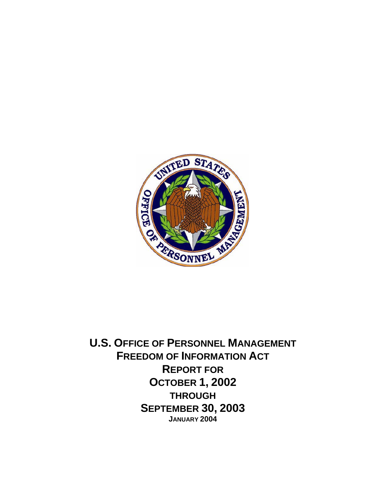

**U.S. OFFICE OF PERSONNEL MANAGEMENT FREEDOM OF INFORMATION ACT REPORT FOR OCTOBER 1, 2002 THROUGH SEPTEMBER 30, 2003 JANUARY 2004**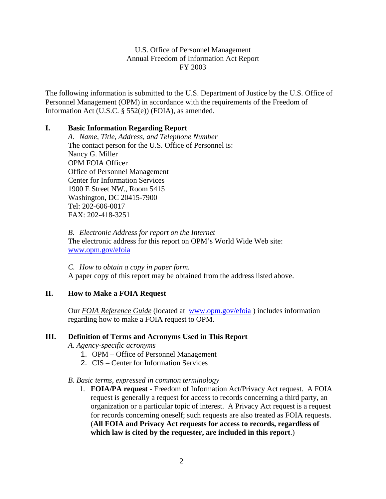The following information is submitted to the U.S. Department of Justice by the U.S. Office of Personnel Management (OPM) in accordance with the requirements of the Freedom of Information Act (U.S.C. § 552(e)) (FOIA), as amended.

#### **I. Basic Information Regarding Report**

*A. Name, Title, Address, and Telephone Number*  The contact person for the U.S. Office of Personnel is: Nancy G. Miller OPM FOIA Officer Office of Personnel Management Center for Information Services 1900 E Street NW., Room 5415 Washington, DC 20415-7900 Tel: 202-606-0017 FAX: 202-418-3251

*B. Electronic Address for report on the Internet*  The electronic address for this report on OPM's World Wide Web site: www.opm.gov/efoia

*C. How to obtain a copy in paper form.*  A paper copy of this report may be obtained from the address listed above.

## **II. How to Make a FOIA Request**

Our *FOIA Reference Guide* (located at www.opm.gov/efoia ) includes information regarding how to make a FOIA request to OPM.

#### **III. Definition of Terms and Acronyms Used in This Report**

 *A. Agency-specific acronyms* 

- 1. OPM Office of Personnel Management
- 2. CIS Center for Information Services

#### *B. Basic terms, expressed in common terminology*

1. **FOIA/PA request** - Freedom of Information Act/Privacy Act request. A FOIA request is generally a request for access to records concerning a third party, an organization or a particular topic of interest. A Privacy Act request is a request for records concerning oneself; such requests are also treated as FOIA requests. (**All FOIA and Privacy Act requests for access to records, regardless of which law is cited by the requester, are included in this report**.)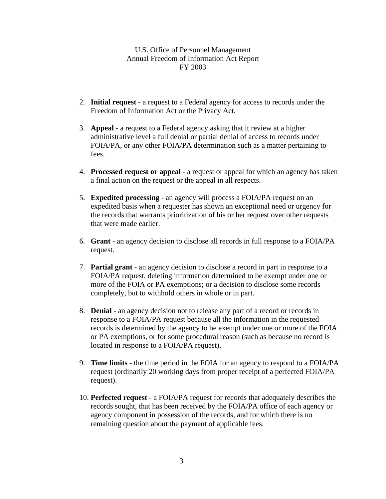- 2. **Initial request** a request to a Federal agency for access to records under the Freedom of Information Act or the Privacy Act.
- 3. **Appeal**  a request to a Federal agency asking that it review at a higher administrative level a full denial or partial denial of access to records under FOIA/PA, or any other FOIA/PA determination such as a matter pertaining to fees.
- 4. **Processed request or appeal** a request or appeal for which an agency has taken a final action on the request or the appeal in all respects.
- 5. **Expedited processing** an agency will process a FOIA/PA request on an expedited basis when a requester has shown an exceptional need or urgency for the records that warrants prioritization of his or her request over other requests that were made earlier.
- 6. **Grant**  an agency decision to disclose all records in full response to a FOIA/PA request.
- 7. **Partial grant** an agency decision to disclose a record in part in response to a FOIA/PA request, deleting information determined to be exempt under one or more of the FOIA or PA exemptions; or a decision to disclose some records completely, but to withhold others in whole or in part.
- 8. **Denial** an agency decision not to release any part of a record or records in response to a FOIA/PA request because all the information in the requested records is determined by the agency to be exempt under one or more of the FOIA or PA exemptions, or for some procedural reason (such as because no record is located in response to a FOIA/PA request).
- 9. **Time limits** the time period in the FOIA for an agency to respond to a FOIA/PA request (ordinarily 20 working days from proper receipt of a perfected FOIA/PA request).
- 10. **Perfected request** a FOIA/PA request for records that adequately describes the records sought, that has been received by the FOIA/PA office of each agency or agency component in possession of the records, and for which there is no remaining question about the payment of applicable fees.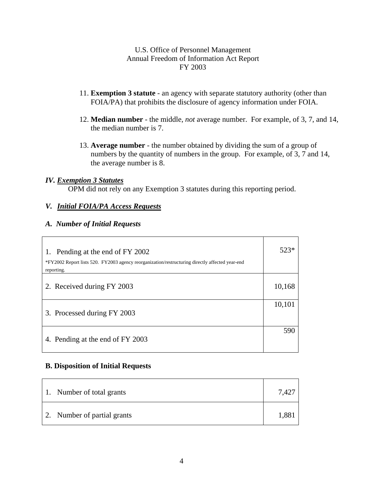- 11. **Exemption 3 statute** an agency with separate statutory authority (other than FOIA/PA) that prohibits the disclosure of agency information under FOIA.
- 12. **Median number** the middle, *not* average number. For example, of 3, 7, and 14, the median number is 7.
- 13. **Average number** the number obtained by dividing the sum of a group of numbers by the quantity of numbers in the group. For example, of 3, 7 and 14, the average number is 8.

#### *IV. Exemption 3 Statutes*

OPM did not rely on any Exemption 3 statutes during this reporting period.

#### *V. Initial FOIA/PA Access Requests*

#### *A. Number of Initial Requests*

| Pending at the end of FY 2002<br>1.<br>*FY2002 Report lists 520. FY2003 agency reorganization/restructuring directly affected year-end<br>reporting. | 523*   |
|------------------------------------------------------------------------------------------------------------------------------------------------------|--------|
| 2. Received during FY 2003                                                                                                                           | 10,168 |
| 3. Processed during FY 2003                                                                                                                          | 10,101 |
| 4. Pending at the end of FY 2003                                                                                                                     | 590    |

#### **B. Disposition of Initial Requests**

| 1. Number of total grants   |  |
|-----------------------------|--|
| 2. Number of partial grants |  |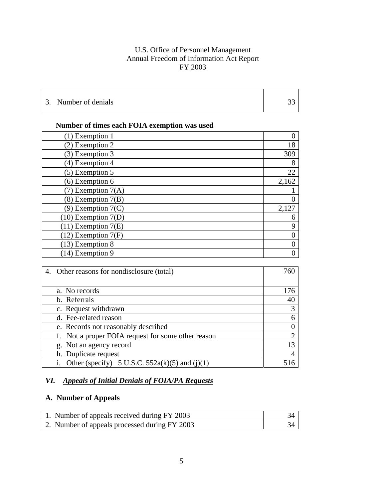| 3. Number of denials |  |
|----------------------|--|

# **Number of times each FOIA exemption was used**

| $(1)$ Exemption 1       |       |
|-------------------------|-------|
| (2) Exemption 2         | 18    |
| (3) Exemption 3         | 309   |
| $(4)$ Exemption 4       | 8     |
| $(5)$ Exemption 5       | 22    |
| $(6)$ Exemption 6       | 2,162 |
| $(7)$ Exemption $7(A)$  |       |
| $(8)$ Exemption $7(B)$  |       |
| $(9)$ Exemption $7(C)$  | 2,127 |
| $(10)$ Exemption $7(D)$ | 6     |
| $(11)$ Exemption $7(E)$ | 9     |
| $(12)$ Exemption $7(F)$ |       |
| $(13)$ Exemption 8      |       |
| $(14)$ Exemption 9      |       |

| 4. Other reasons for nondisclosure (total)         | 760                         |
|----------------------------------------------------|-----------------------------|
|                                                    |                             |
| a. No records                                      | 176                         |
| b. Referrals                                       | 40                          |
| c. Request withdrawn                               |                             |
| d. Fee-related reason                              | 6                           |
| e. Records not reasonably described                |                             |
| f. Not a proper FOIA request for some other reason | $\mathcal{D}_{\mathcal{A}}$ |
| g. Not an agency record                            | 13                          |
| h. Duplicate request                               | 4                           |
| Other (specify) 5 U.S.C. 552a(k)(5) and (j)(1)     |                             |

# *VI. Appeals of Initial Denials of FOIA/PA Requests*

# **A. Number of Appeals**

| 1. Number of appeals received during FY 2003  |  |
|-----------------------------------------------|--|
| 2. Number of appeals processed during FY 2003 |  |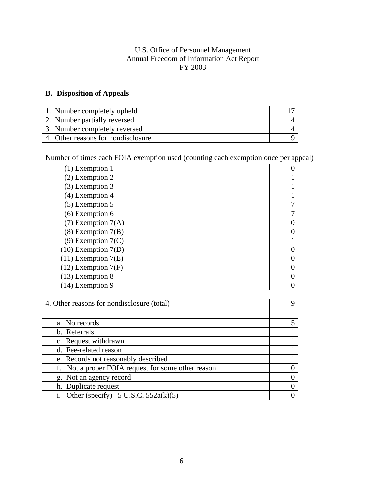### **B. Disposition of Appeals**

| 1. Number completely upheld        |  |
|------------------------------------|--|
| 2. Number partially reversed       |  |
| 3. Number completely reversed      |  |
| 4. Other reasons for nondisclosure |  |

Number of times each FOIA exemption used (counting each exemption once per appeal)

| $(1)$ Exemption 1       |   |
|-------------------------|---|
| (2) Exemption 2         |   |
| (3) Exemption 3         |   |
| $(4)$ Exemption 4       |   |
| $(5)$ Exemption 5       |   |
| (6) Exemption 6         | 7 |
| $(7)$ Exemption $7(A)$  |   |
| $(8)$ Exemption $7(B)$  |   |
| $(9)$ Exemption $7(C)$  |   |
| $(10)$ Exemption $7(D)$ |   |
| $(11)$ Exemption $7(E)$ |   |
| $(12)$ Exemption $7(F)$ |   |
| $(13)$ Exemption 8      |   |
| $(14)$ Exemption 9      |   |

| 4. Other reasons for nondisclosure (total)         | Q        |
|----------------------------------------------------|----------|
|                                                    |          |
| a. No records                                      |          |
| b. Referrals                                       |          |
| c. Request withdrawn                               |          |
| d. Fee-related reason                              |          |
| e. Records not reasonably described                |          |
| f. Not a proper FOIA request for some other reason | $\theta$ |
| g. Not an agency record                            | $\Omega$ |
| h. Duplicate request                               | $\Omega$ |
| Other (specify) $5$ U.S.C. $552a(k)(5)$            |          |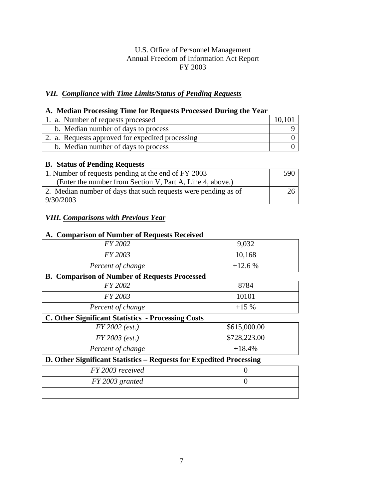## *VII. Compliance with Time Limits/Status of Pending Requests*

### **A. Median Processing Time for Requests Processed During the Year**

| 1. a. Number of requests processed               |  |
|--------------------------------------------------|--|
| b. Median number of days to process              |  |
| 2. a. Requests approved for expedited processing |  |
| b. Median number of days to process              |  |

#### **B. Status of Pending Requests**

| 1. Number of requests pending at the end of FY 2003            |  |
|----------------------------------------------------------------|--|
| (Enter the number from Section V, Part A, Line 4, above.)      |  |
| 2. Median number of days that such requests were pending as of |  |
| 9/30/2003                                                      |  |

# *VIII. Comparisons with Previous Year*

#### **A. Comparison of Number of Requests Received**

| FY 2002                                                             | 9,032        |  |
|---------------------------------------------------------------------|--------------|--|
| FY 2003                                                             | 10,168       |  |
| Percent of change                                                   | $+12.6%$     |  |
| <b>B. Comparison of Number of Requests Processed</b>                |              |  |
| FY 2002                                                             | 8784         |  |
| FY 2003                                                             | 10101        |  |
| Percent of change                                                   | $+15\%$      |  |
| <b>C. Other Significant Statistics - Processing Costs</b>           |              |  |
| $FY$ 2002 (est.)                                                    | \$615,000.00 |  |
| $FY 2003$ (est.)                                                    | \$728,223.00 |  |
| Percent of change                                                   | $+18.4%$     |  |
| D. Other Significant Statistics - Requests for Expedited Processing |              |  |
| FY 2003 received                                                    |              |  |
| FY 2003 granted                                                     |              |  |
|                                                                     |              |  |